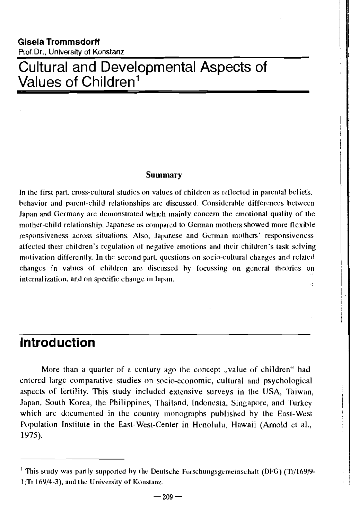# **Cultural and Developmental Aspects of Values of Children<sup>1</sup>**

#### Summary

In the first part. cross-cultural studies on vatues of children as retlected in parental heliefs, hehavior and parent-child relationships are discussed. Considerable differences between Japan and Germany are demonstrated which mainly concern the emotional quality of the mother-child relationship. Japanese as compared to German mothers showed more flexihle responsiveness across situations. Also, Japanese and German mothers' responsiveness affected their children's regulation of negative emotions and their children's task solving motivation differently. In the second part, questions on socio-cultural changes and related changes in values of children arc discussed hy focussing on genrral theories on internalization. and on specific change in Japan. ð.

# **Introd uction**

More than a quarter of a century ago the concept "value of children" had entered large comparative studies on socio-economic, cultural and psychological aspects of fertility. This study included extensive surveys in the USA, Taiwan, Japan, South Korea, the Philippines, Thailand, Indonesia, Singapore, and Turkey which arc documented in the country monographs published by the East-West Population Institute in the East-West-Center in Honolulu, Hawaii (Arnold et aI., 1975).

 $1$  This study was partly supported by the Deutsche Forschungsgemeinschaft (DFG) (Tr/169/9-1; Tr 169/4-3), and the University of Konstanz.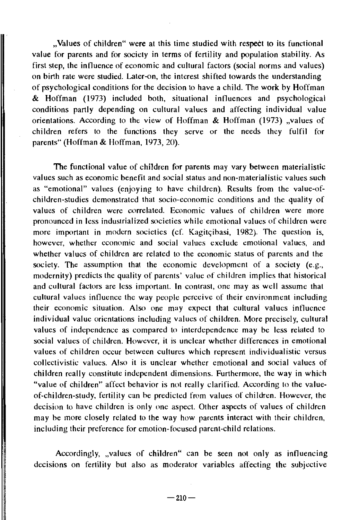"Values of children" were at this time studied with respect to its functional value for parents and for society in terms of fertility and population stability. As first step, the intluence of economic and cultural factors (social norms and values) on birth rate were studied. Later-on, the interest shifted towards the understanding of psychological conditions for the decision to have a child. The work by Hoffman & Hoffman (1973) included both, situational intluences and psychological conditions partly depending on cultural values and affecting individual value orientations. According to the view of Hoffman  $\&$  Hoffman (1973) "values of children refers to the functions they serve or the needs they fulfil for parents" (Hoffman & Hoffman, 1973, 20).

The functional value of children for parents may vary between materialistic values such as economic benefit and social status and non-materialistic values such as "emotional" values (enjoying to have children). Results from the value-ofchildren-studies demonstrated that socio-economic conditions and the quality of values of children were correlated. Economic values of children were more pronounced in less industrialized societies while emotional values of children were more important in modern societies (cf. Kagitcibasi, 1982). The question is, however, whether economic and social values exclude emotional values, and whether values of children are related to the economic status of parents and the society. The assumption that the economic development of a society (e.g., modernity) predicts the quality of parents' value of ehildren implies that historical and cultural factors are less important. **In** contrast, one may as well assume that cultural values intluenee the way people perceive of their environment including their economic situation. Also one may expect that cultural values intluence individual value orientations including values of children. More precisely, cultural values of independence as compared to interdependence may be less related to social values of children. However, it is unclear whether differences in emotional values of children occur between cultures which represent individualistic versus collectivistic values. Also it is unclear whether emotional and social values of children really constitute independent dimensions. Furthermore, the way in which "value of children" affect behavior is not really clarified. According to the valueof-children-study, fertility can be predicted from values of children. However, the decision to have children is only one aspect. Other aspects of values of children may be more closely related to the way how parents interact with their children, including their preference for emotion-focused parent-child relations.

Accordingly, "values of children" can be seen not only as influencing decisions on fertility but also as moderator variables affecting the subjective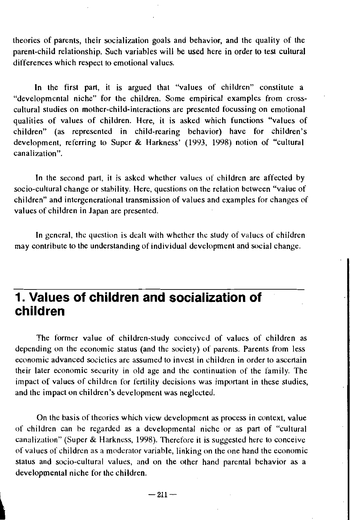theories of parents, their socialization goals and behavior, and the quality of the parent-child relationship. Such variables will be used here in order to test cultural differences which respect to emotional values.

In the first part, it is argued that "values of children" constitute a "developmental niche" for the children. Some empirical examples from crosscultural studies on mother-child-interactions are presented focussing on emotional qualities of values of children. Here, it is asked which functions "values of children" (as represented in child-rearing behavior) have for children's development, referring to Super & Harkness' (1993, 1998) notion of "cultural canalization".

In the second part, it is asked whether values of children are affected by socio-cultural change or stability. Here, questions on the relation between "value of children" and intergenerational transmission of values and examples for changes of values of children in Japan are presented.

In general, the question is dealt with whether the study of values of children may contribute to the understanding of individual development and social change.

# **1. Values of children and socialization of children**

The former value of children-study conceived of values of children as depending on the economic status (and the society) of parents. Parents from less economic advanced societies are assumed to invest in children in order to ascertain their later economic security in old age and the continuation of the family. The impact of values of children for fertility decisions was important in these studies, and the impact on children's development was neglected.

On the basis of theories which view development as process in context, value of children can be regarded as a developmental niche or as part of "cultural canalization" (Super & Harkness, 1998). Therefore it is suggested here to conceive of values of children as a moderator variable, linking on the one hand the economic status and socio-cultural values, and on the other hand parental behavior as a developmental niche for the children. devel,?~'k~~al ni~~, ~'or t!L~~~~~ren.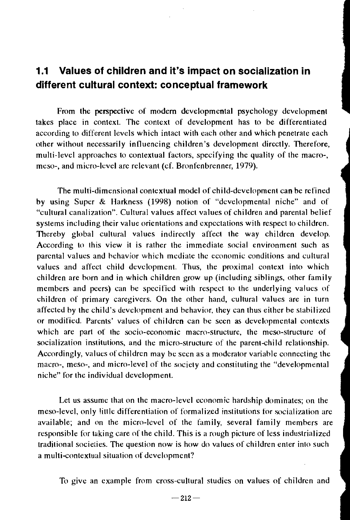# **1.1 Values of children and it's impact on sociallzation in different cultural context: conceptual framework**

From the perspective of modem developmental psychology development takes place in context. The context of development has to be differentiated according to different levels which intact with each other and which penetrate each other without necessarily iniluencing children's development directly. Therefore, multi-level approaches to contextual factors, specifying the quality of the macro-, meso-, and micro-level are relevant (cf. Bronfenbrenner, 1979).

The multi-dimensional contextual model of child-development can be refined by using Super & Harkness (1998) notion of "developmental niche" and of "cultural canalization". Cultural values affect values of children and parental belief systems including their value orientations and expectations with respect to children. Thereby global cultural values indirectly affect the way children develop. According to this view it is rather the immediate social environment such as parental values and behavior which mediate thc economic conditions and cultural values and affect child development. Thus, the proximal context into which children are born and in which children grow up (including siblings, other family members and peers) ean be specified with respect to the underlying values of children of primary caregivers. On the other hand, cultural values are in turn affected by the child's development and behavior. they can thus either be stabilized or modified. Parents' values of children can be seen as developmental contexts which are part of the socio-economic macro-structure, the meso-structure of socialization institutions, and the micro-structure of the parent-child relationship. Accordingly, values of children may be seen as a moderator variable connecting the macro-, meso-, and micro-level of the society and constituting the "developmental niche" for the individual development.

Let us assume that on the macro-level economic hardship dominates; on the meso-Ievel, only litllc differentiation of formalized institutions for socialization are available; and on the micro-level of the family, several family members are responsible for taking care of the child. This is a rough picture of less industrialized traditional societies. The question now is how do values of children enter into such a multi-contextual situation of development?

To give an example from cross-cultural studies on values of children and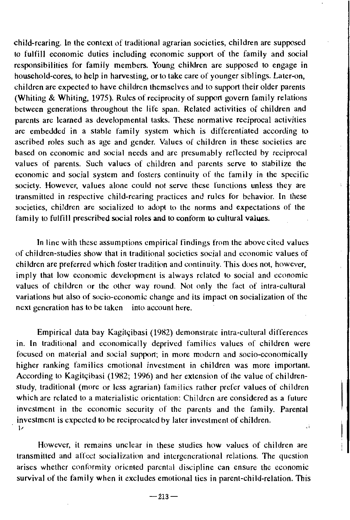child-rearing. In the context of traditional agrarian societies, children are supposed to fulfill economic duties including economic support of the family and social responsibilities for family members. Young children are supposed to engage in household-cores, to help in harvesting, or to take care of younger siblings. Later-on, children are expected to have children themselves and to support their older parents (Whiting & Whiting, 1975). Rules of reciprocity of support govern family relations between generations throughout the life span. Related activities of children and parents are learned as developmental tasks. These normative reciprocal activities are embedded in a stable family system which is differentiated according to ascribed roles such as age and gender. Values of children in these societies are based on economic and social needs and arc presumably retlccted by reciproeal values of parents. Such values of children and parents serve to stabilize the economic and social system and fosters continuity of the family in the specific society. However, values alone could not serve these functions unless they are transmitted in respective child-rearing practices and rules for behavior. In these societies, children are socialized to adopt to the norms and expectations of the family to fulfill prescribed social roles and to conform to cultural values.

In line with these assumptions empirical findings from the above cited values of children-studies show that in traditional societies social and economic values of children are preferred which foster tradition and continuity. This does not, however, imply that low economic development is always relatcd to social and cconomic values of children or the other way round. Not only the fact of intra-cultural variations but also of socio-economic change and its impact on socialization of the next generation has to be taken into account here.

Empirical data bay Kagitçibasi (1982) demonstrate intra-cultural differences in. In traditional and economically deprived families values of children were focused on material and social support; in more modern and socio-economically higher ranking families emotional investment in children was more important. According to Kagitçibasi (1982; 1996) and her extension of the value of childrenstudy, traditional (more or less agrarian) families rather prefer values of children which are related to a materialistic orientation: Children are considered as a future investment in the economic security of the parents and the family. Parental . investment is expected to be reciprocated by later investment of children. i. I,

However, it remains unclear in these studies how values of children are transmitted and affcct soeialization and intergenerational relations. The question arises whether conformity oriented parental discipline can ensure the economic survival of the family when it excludes emotional ties in parent-child-relation. This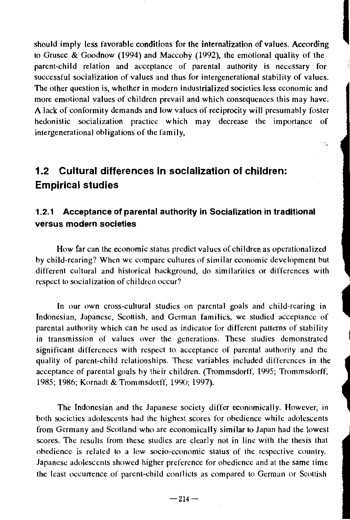should imply less favorable conditions for the internalization of values. According<br>to Grusec & Goodnow (1994) and Maccoby (1992), the emotional quality of the parent-child relation and acceptance of parental authority is necessary for successful socialization of values and thus for intergenerational stability of values. The other question is, whether in modern industrialized societies less economic and more emotional values of children prevail and which consequences this may have. A lack of conformity demands and low values of reciprocity will presumably foster hedonistic socialization practice which may decrease the importance of intergenerational obligations of the family,

÷.

# **1.2 Cultural differences in socialization of children: Empirical studies**

## **1.2.1 Acceptance of parental authority in Socialization in traditional versus modern societies**

How far can the economic status predict values of children as operationalized by child-rearing? When we compare cultures of similar economic development but different cultural and historical background, do similarities or differences with respect to socialization of children occur?

In our own cross-cultural studies on parental goals and child-rearing in Indonesian, Japanese, Scottish, and German families, we studied acceptance of parental authority which can be used as indicator for different patterns of stability in transmission of values over the generations. These studies demonstrated significant differences with respect to acceptance of parental authority and the quality of parent-child relationships. These variables included differences in the acceptance of parental goals hy their children. (Trommsdorff, 1995; Trommsdorff, 1985; 1986; Kornadt & Trommsdorff, *1990; 1997).* 

The Indonesian and the Japanese society differ economically. However, in both societies adolescents had the highest scores for obedience while adolescents from Germany and Scotland who are economically similar to Japan had the lowest scores. The results from these studies are clearly not in line with the thesis that obedience is related to a low socio-economic status of the respective country. Japanesc adolescents showed higher preference for ohedience and at the same time the least occurrence of parent-child conllicts as compared to German or Scottish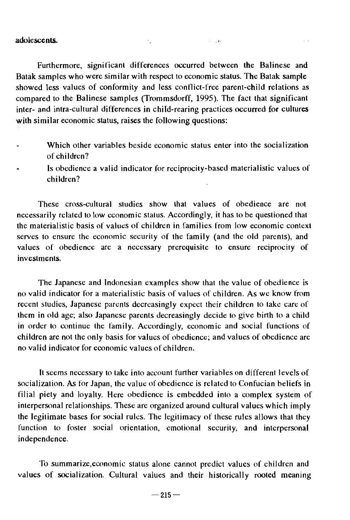#### adolescents.

Furthermore, significant differences occurred between the Balinese and Batak samples who were similar with respect to economic status. The Batak sample showed less values of conformity and less conflict-free parent-child relations as compared to the Balinese samples (Trommsdorff, 1995). The fact that significant inter- and intra-cultural differences in child-rearing practices occurred for cultures with similar economic status, raises the following questions:

- Which other variables beside economic status enter into the socialization of children?
- Is obedience a valid indicator for reciprocity-based materialistic values of children?

These cross-cultural studies show that values of obedience are not necessarily related to low economic status. Accordingly, it has to be questioned that the materialistic basis of values of children in families from low economic context serves to ensure the economic security of the family (and the old parents), and values of obedience are a necessary prerequisite to ensure reciprocity of investments.

The Japanese and Indonesian examples show that the value of obedience is no valid indicator for a materialistic basis of values of children. As we know from recent studies, Japanese parents decreasingly expect their children to take care of them in old age; also Japanese parents decreasingly decide to give birth to a child in order to continue the family. Accordingly, economic and social functions of children are not the only basis for values of obedience; and values of obedience are no valid indicator for economic values of children.

It seems necessary to take into account further variables on different levels of socialization. As for Japan, the value of obedience is related to Confucian beliefs in filial piety and loyalty. Here obedience is embedded into a complex system of interpersonal relationships. These are organized around cultural values which imply the legitimate bases for social rules. The legitimacy of these rules allows that they function to foster social orientation, emotional security. and interpersonal independence.

To summarize,economic status alone cannot predict values of children and values of socialization. Cultural values and their historically rooted meaning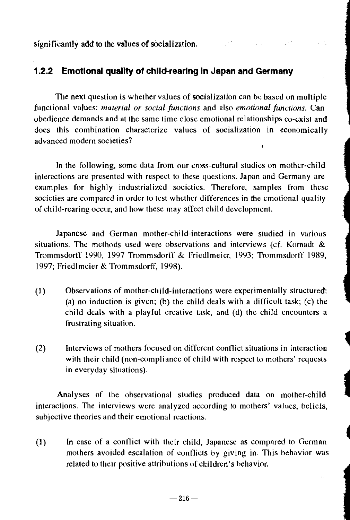significantly add to the values of socialization.

### **1.2.2 Emotional quality of child-rearing In Japan and Germany**

The next question is whether values of socialization can be based on multiple functional values: *material or social functions* and also *emotional functions.* Can obedience demands and at the same time close emotional relationships co-exist and does this combination characterize values of socialization in economically advanced modern societies?

In the following, some data from our cross-cultural studies on mother-child interactions are presented with respect to these questions. Japan and Germany are examples for highly industrialized societies. Therefore, samples from these societies are compared in order to test whether differences in the emotional quality of child-rearing occur, and how these may affect child development.

Japanese and German mother-child-interactions were studied in various situations. The methods used were observations and interviews (cf. Kornadt  $\&$ Trommsdorff 1990, 1997 TrommsdorlT & Friedlmeier, 1993; Trommsdorff 1989, 1997; Friedl meier & Trommsdorff, 1998).

- (1) Observations of mother-child-interactions were experimentally structured: (a) no induction is given; (b) the child deals with a difficult task; (c) the child deals with a playful creative task, and (d) the child encounters a frustrating situation.
- $(2)$  Interviews of mothers focused on different conflict situations in interaction with their child (non-compliance of child with respect to mothers' requests in everyday situations).

Analyses of the observational studies produced data on mother-child interactions. The interviews were analyzed according to mothers' values, beliefs, subjective theories and their emotional reactions.

(1 ) In case of a conllict with their child, Japanese as compared to German mothers avoided escalation of contlicts by giving in. This behavior was related to their positive attributions of children's behavior.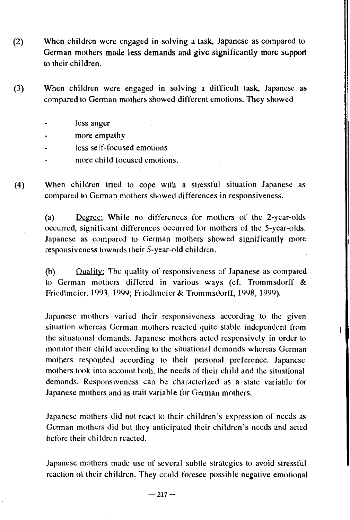- (2) When children were engaged in solving a task, Japanese as compared to German mothers made less demands and give significantly more support to their children.
- (3) When children were engaged in solving a difficult task, Japanese as compared to German mothers showed different emotions. They showed
	- less anger
	- more empathy
	- less self-focused emotions
	- more child focused emotions.
- (4) When children tried to cope with a stressful situation Japanese as compared to German mothers showed differences in responsiveness.

(a) While no differences for mothers of the 2-year-olds occurred, significant differences occurred for mothers of the 5-year-olds. Japanese as compared to German mothers showed significantly more responsiveness towards their 5-year-old children.

(b) Ouality' The quality of responsiveness of Japanese as compared to German mothers differed in various ways (cf. Trommsdorff  $\&$ Friedlmeier, 1993, 1999; Friedlmeier & Trommsdorff, 1998, 1999).

Japanese mothers varied their responsiveness according to the given situation whereas German mothers reacted quite stable independent from the situational demands. Japanese mothers aeted responsively in order to monitor their child according to the situational dcmands whereas German mothers responded according to their personal preference. Japanese mothers took into account both, the needs of their child and the situational demands. Responsiveness can be characterized as a state variable for Japanese mothers and as trait variable for German mothers.

Japanese mothers did not react to their children's expression of needs as German mothers did but they anticipated their children's needs and aeted before their children reacted.

Japanese mothers made use of several subtle strategies to avoid stressful reaction of their children. They could foresee possible negative emotional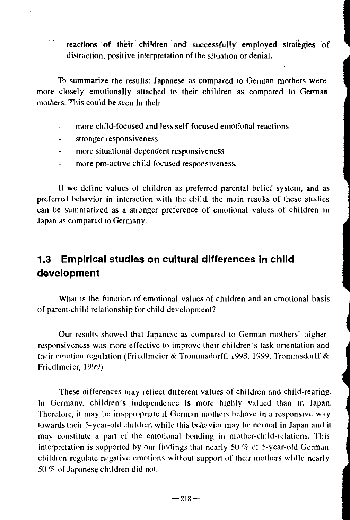reactions of their children and successfully employed strategies of distraction, positive interpretation of the situation or denial.

To summarize the results: Japanese as compared to German mothers were more closely emotionally attached to their children as compared to German mothers. This could be seen in their

- more child-focused and less self-focused emotional reactions
- stronger responsiveness  $\overline{a}$
- more situational dependent responsiveness  $\omega$
- more pro-active child-focused responsiveness.

If we define values of children as preferred parental belief system, and as preferred behavior in interaction with the child, the main results of these studies can be summarized as a stronger preference of emotional values of children in Japan as compared to Germany.

## **1.3 Empirical studies on cultural differences in child development**

What is the function of emotional values of children and an emotional basis of parent-chi Id relationship for child development?

Our results showed that Japanese as compared to German mothers' higher responsiveness was more effective to improve their children's task orientation and their emotion regulation (Friedlmeier & Trommsdorff, 1998, 1999; Trommsdorff & Fricdlmeier, 1999).

These differences may retlect different values of children and child-rearing. In Germany, children's independence is more highly valued than in Japan. Therefore, it may be inappropriate if German mothers behave in a responsive way towards their 5-year-old children while this behavior may be normal in Japan and it may constitute a part of the emotional bonding in mother-child-relations. This interpretation is supported by our findings that nearly 50 % of 5-year-old German children regulate negative emotions without support of their mothers while nearly 50 % of Japanese children did not.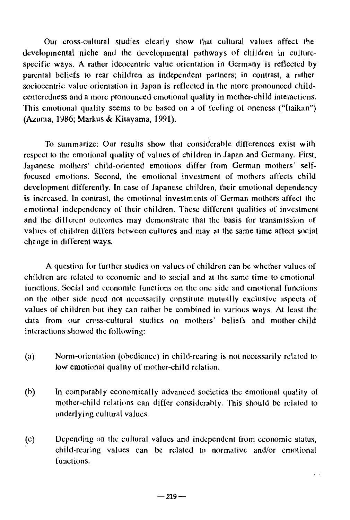Our cross-cultural studies clearly show that cultural values affect the developmental niche and the developmental pathways of children in culturespecific ways. A rather ideocentric value orientation in Germany is retlected by parental beliefs to rear children as independent partners; in contrast, a rather sociocentric value orientation in Japan is retlected in the more pronounced childcenteredness and a more pronounced emotional quality in mother-child interactions. This emotional quality seems to be based on a of feeling of oneness ("Itaikan") (Azuma, 1986; Markus & Kitayama, 1991).

To summarize: Our results show that considerable differences exist with respect to the emotional quality of values of children in Japan and Germany. First, Japanese mothers' child-oriented emotions differ from German mothers' selffocused emotions. Second, the emotional investment of mothers affects child development differently. In case of Japanese children, their emotional dependency is increased. In contrast, the emotional investments of German mothers affect the emotional independency of their children. These different qualities of investment and the different outcomes may demonstrate that the basis for transmission of values of children differs bctwcen cultures and may at the same time affect social change in different ways.

A question for further studies on values of children can be whether values of children are related to economic and to social and at the same time to emotional functions. Social and economic functions on the one side and emotional functions on the other side need not necessarily constitute mutually exclusive aspects of values of children but they can rather be combined in various ways. At least the data from our cross-cultural studies on mothers' beliefs and mother-child interactions showed the following:

- (a) Norm-orientation (obedience) in child-rearing is not necessarily related <sup>10</sup> low emotional quality of mother-child relation.
- (b) In comparably cconomically advanced societies the emotional quality of mother-child relations can differ considerably. This should be related to underlying cultural values.
- (c) Depending on the cultural values and independent from economic status, child-rearing values can be related to normative and/or emotional functions.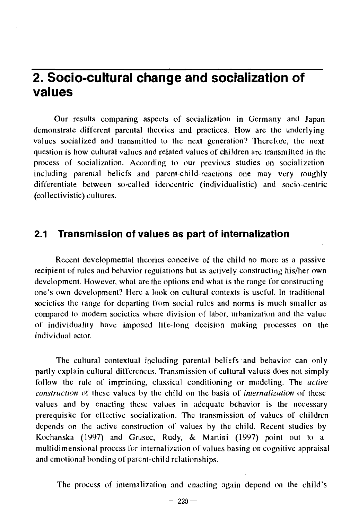# **2. Socio-cultural change and socialization of values**

Our results comparing aspects of socialization in Germany and Japan demonstrate different parental theories and practices. How are the underlying values socialized and transmitted to the next generation? Therefore, the next question is how cultural values and related values of children are transmitted in the process of socialization. According to our previous studies on socialization including parental beliefs and parent-child-reactions one may very roughly differentiate between so-called ideocentric (individualistic) and socio-centric (collectivistic) cultures.

## **2.1 Transmission of values as part of internalization**

Recent developmental theories conceive of the child no more as a passive recipient of rules and behavior regulations but as actively constructing his/her own deVelopment. However, what are the options and what is the range for constructing one's own development? Here a look on cultural contexts is useful. In traditional societies the range for departing from social rules and norms is much smaller as compared to modern societies where division of labor, urbanization and the value of individuality have imposed lire-long decision making processes on the individual actor.

The cultural contextual including parental beliefs and behavior can only partly explain cultural differences. Transmission of cultural values does not simply follow the rule of imprinting, classical conditioning or modeling. The *active construction* of these values by the child on the basis of *internalization* of these values and by enacting these values in adequate behavior is the necessary prerequisite for effective socialization. The transmission of values of children depends on the active construction of values by the child. Recent studies by Kochanska (1997) and Grusec, Rudy, & Martini (1997) point out to a multidimensional process for internalization of values basing on cognitive appraisal and emotional bonding of parent-child relationships.

The process of internalization and enacting again depend on the child's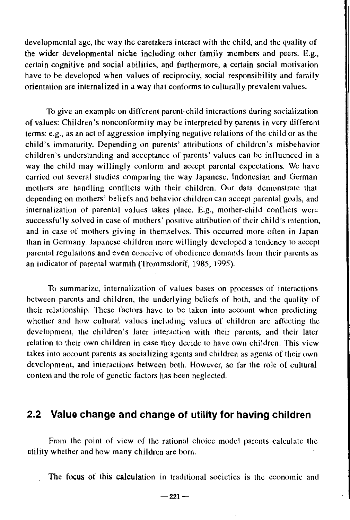developmental age, the way the caretakers interact with the child, and the quality of the wider developmental niche including other family members and peers. E.g., certain cognitive and social abilities, and furthermore, a certain social motivation have to be developed when values of reciprocity, social responsibility and family orientation are internalized in a way that conforms to culturally prevalent values.

To give an example on different parent-child interactions during socialization of values: Children's nonconformity may be interpreted by parents in very different terms: e.g., as an act of aggression implying negative relations of the child or as the child's immaturity. Depending on parents' attributions of children's misbehavior children's understanding and acceptance of parents' values can be inllucnced in a way the child may willingly conform and accept parental expectations. We have carried out several studies comparing the way Japanese, Indonesian and German mothers are handling contlicts with their children. Our data demonstrate that depending on mothers' beliefs and behavior children can accept parental goals, and internalization of parental values takes place. E.g., mother-child contlicts were successfully solved in case of mothers' positive attribution of their child's intention, and in case of mothers giving in themselves. This occurred more often in Japan than in Germany. Japanese children more willingly developed a tendency to accept parental regulations and even conceive of obedience demands from their parents as an indicator of parental warmth (Trommsdorff, 1985, 1995).

To summarize, internalization of values bases on processes of interactions between parents and children, the underlying beliefs of both, and the quality of their relationship. These factors have to be taken into account when predicting whether and how cultural values including values of children are affecting the development, the children's later interaction with their parents, and their later relation to their own children in case they decide to have own children. This view takes into account parents as socializing agents and ehildren as agents of their own development, and interactions between both. However, so far the role of cultural context and the role of genetic factors has been neglected.

## **2.2 Value change and change of utility for having children**

From the point of view of the rational choice model parents calculate the utility whether and how many children are born.

The focus of this calculation in traditional societies is the economic and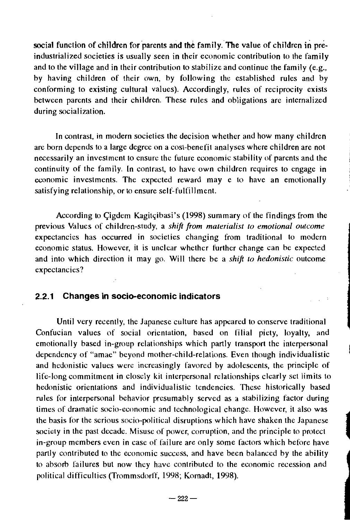social function of children for parents and the family. The value of children in preindustrialized societies is usually seen in their economic contribution to the family and to the village and in their contribution to stabilize and continue the family (e.g., by having children of their own, by following the established rules and by conforming to existing cultural values). Accordingly, rules of reciprocity exists between parents and their children. These rules and obligations are internalized during socialization.

In contrast, in modern societies the decision whether and how many children are born depends to a large degree on a cost-benefit analyses where children are not necessarily an investment to ensure the future economic stability of parents and the continuity of the family. In contrast, to have own children requires to engage in economic investments. The expected reward may e to have an emotionally satisfying relationship, or to ensure self-fulfillment.

According to Cigdem Kagitçibasi's (1998) summary of the findings from the previous Values of children-study, a *shift from materialist to emotional outcome*  expectancies has occurred in societies changing from traditional to modern economic status. However, it is unclear whether further change can be expected and into which direction it may go. Will there be a *shift 10 hedonistic* outcome expectancies?

#### 2.2.1 **Changes in socio-economic indicators**

Until very recently, the Japanese culture has appeared to conserve traditional Confucian values of social orientation, based on filial piety, loyalty, and emotionally based in-group relationships which partly transport the interpersonal dependency of "amae" beyond mother-child-relations. Even though individualistic and hedonistic values were increasingly favored by adolescents, the principle of life-long commitment in closely kit interpersonal relationships clearly set limits to hedonistic orientations and individualistic tendencies. These historically based rules for interpersonal behavior presumably served as a stabilizing factor during times of dramatic socio-economic and technological change. However, it also was the basis for the serious socio-political disruptions which have shaken the Japanese society in the past decade. Misuse of power, corruption, and the principle to protect in-group members even in case of failure are only some factors which before have partly contributed to the economic success, and have been balanced by the ability to absorb failures but now Ihey have contributed 10 the economic recession and political difficulties (TrommsdorlT, 1998; Kornadt, 1998).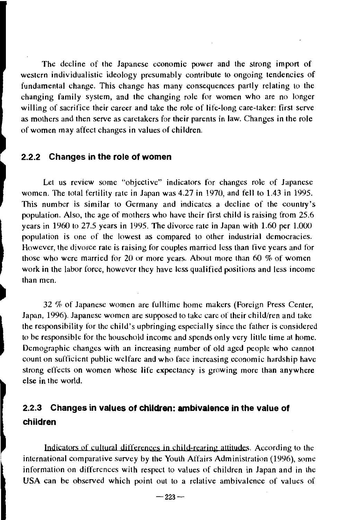The decline of the Japanese economic power and the strong import of western individualistic ideology presumably contribute to ongoing tendencies of fundamental change. This change has many consequences partly relating to the changing family system, and the changing role for women who are no longer willing of sacrifice their career and take the role of life-long care-taker: first serve as mothers and then serve as caretakers for their parents in law. Changes in the role of women may affect changes in values of children.

#### 2.2.2 **Changes in the role of women**

Let us review some "objective" indicators for changes role of Japanese women. The total fertility rate in Japan was 4.27 in 1970, and fell to 1.43 in 1995. This number is similar to Germany and indicates a decline of the country's population. Also, the age of mothers who have their tirst child is raising from 25.6 years in 1960 to 27.5 years in 1995. The divorce rate in Japan with 1.60 per 1.000 population is one of the lowest as compared to other industrial democracies. However, the divorce rate is raising for couples marricd less than five years and for those who were married for 20 or more years. About more than 60 % of women work in the labor force, however they have less qualified positions and less income than men.

32 % of Japanese women are fulltime home makers (Foreign Press Center, Japan, 1996). Japanese women are supposed to take care of their child/ren and take the responsibility for the child's upbringing especially since the falher is considered to be responsible for the household income and spends only very little time at home. Demographic changes with an increasing number of old aged people who cannot count on sufficient public welfare and who face increasing economic hardship have strong effects on women whose life expectancy is growing more than anywhere else in Ihe world.

## 2.2.3 **Changes in values of children: ambivalence in the value of children**

Indicators of cultural differences in child-rearing attitudes. According to the international comparative survey by the Youth Affairs Administration (1996), some information on differences with respect to values of children in Japan and in the USA can be observed which point out to a relative ambivalence of values of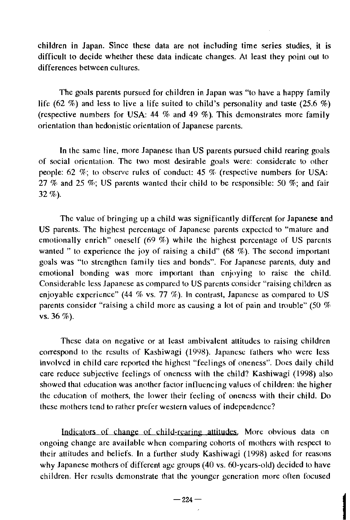children in Japan. Since these data are not including time series studies, **it** is difficult to decide whether these data indicate changes. At least they point out to differences between cultures.

The goals parents pursued for children in Japan was "to have a happy family life (62 %) and less to live a life suited to child's personality and taste (25.6 %) (respective numbers for USA: 44 % and 49 %). This demonstrates more family orientation than hedonistic orientation of Japanese parents.

**In** the same line, more Japanese than US parents pursued child rearing goals of social orientation. The two most desirable goals were: considerate to other people: 62 %; to observe rules of conduct: 45 % (respective numbers for USA: 27 % and 25 %; US parents wanted their child to be responsible: 50 %; and fair 32%).

The value of bringing up a child was significantly different for Japanese and US parents. The highest percentage of Japanese parents expected to "mature and emotionally enrich" oneself (69 %) while the highest percentage of US parents wanted" to experience the joy of raising a child" (68 %). The second important goals was "to strengthen family tics and bonds". For Japanese parents, duty and emotional bonding was more important than enjoying to raise the child. Considerable less Japanese as compared to US parents consider "raising children as enjoyable experience" (44 % vs. 77 %). In contrast, Japanese as compared to US parents consider "raising a child more as causing a lot of pain and trouble" (50 % vs. 36 %).

These data on negative or at least ambivalent attitudes to raising children correspond to the results of Kashiwagi (1998). Japanese fathers who were less involved in child care reported the highest "feelings of oneness". Does daily child care reduce subjective feelings of oneness with the child? Kashiwagi (1998) also showed that education was another factor influencing values of children: the higher the education of mothers, the lower their feeling of oneness with their child. Do these mothers tend to rather prefer western values of independence?

Indicators of change of child-rearing attitudes. More obvious data on ongoing change are available when comparing cohorts of mothers with respect to their attitudes and beliefs. In a further study Kashiwagi (1998) asked for reasons why Japanese mothers of different age groups (40 vs. 6O-years-old) decided to have children. Her results demonstrate that the younger generation more otten focused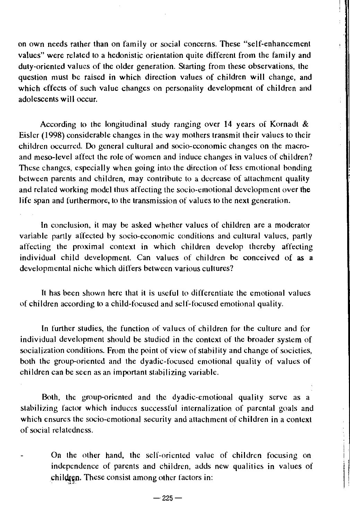on own needs rather than on family or social concerns. These "self-enhancement values" were related to a hedonistic orientation quite different from the family and duty-oriented values of the older generation. Starting from these observations, the question must be raised **in** which direction values of children will change, and which effects of such value changes on personality development of children and adolescents will occur.

According to the longitudinal study ranging over 14 years of Kornadt & Eisler (1998) considerable changes in the way mothers transmit their values to their children occurred. Do general cultural and socio-economic changes on the macroand meso-Ievel affect the role of women and induce changes in values of children? These changes, especially when going into the direction of less emotional bonding between parents and children, may contribute to a decrease of attachment quality and related working model thus affecting the socio-emotional development over the life span and furthermore, to the transmission of values to the next generation.

In conclusion, it may be asked whether values of children are a moderator variable partly affected by socio-economic conditions and cultural values, partly affecting the proximal context in which children develop thereby affecting individual child development. Can values of children be conceived of as a developmental niche which differs between various cultures?

It has been shown here that it is useful to differentiate the emotional values of children according to a child-focused and self-focused emotional quality.

In further studies, the function of values of children for the culture and for individual development should be studied in the context of the broader system of socialization conditions. From the point of view of stability and change of socicties, both the group-oriented and the dyadic-focused emotional quality of values of children can be seen as an important stabilizing variable.

Both, the group-oriented and the dyadic-emotional quality serve as a stabilizing factor which induces successful internalization of parental goals and which ensures the socio-emotional security and attachment of children in a context of social relatedness.

On the other hand, the self-oriented value of children focusing on independence of parents and children, adds new qualities in values of children. These consist among other factors in: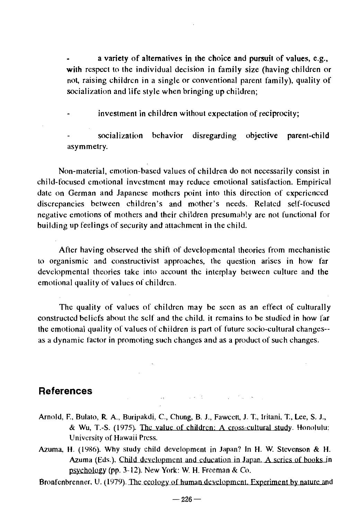a variety of alternatives in the choice and pursuit of values, e.g., with respect to the individual decision in family size (having children or not, raising children in a single or conventional parent family), quality of socialization and life style when bringing up children;

investment in children without expectation of reciprocity;

socialization behavior disregarding objective parent-child asymmetry.

Non-material, emotion-based values of children do not necessarily consist in child-focused emotional investment may reduce emotional satisfaction. Empirical date on German and Japanese mothers point into this direction of experienced discrepancies between children's and mother's needs. Related self-focused negative emotions of mothers and their children presumahly are not functional for building up feelings of security and attachment in the child.

After having observed the shift of developmental theories from mechanistic to organismic and constructivist approaches, the question arises in how far developmental theories take into account the interplay between culture and the emotional quality of values of children.

The quality of values of children may be seen as an effect of culturally constructed beliefs about the self and the child. it remains to be studied in how far the emotional quality of values of children is part of future socio-cultural changes- as a dynamic factor in promoting such changes and as a product of such changes.

#### **References**

- Arnold, F.. Bulato, R A., Buripakdi, C, Chung, B. J., Fawcetl, J. T., Iritani, T., Lee, S. J., & Wu, T.-S. (1975). The value of children: A cross-cultural study. Honolulu: University of Hawaii Press.
- Azuma, H. (1986). Why study child development in Japan? In H. W. Stevenson & H. Azuma (Eds.), Child development and education in Japan. A series of books in psychology (pp. 3-12). New York: W. H. Freeman & Co.

Bronfenbrenner, U. (1979). The ecology of human development. Experiment by nature and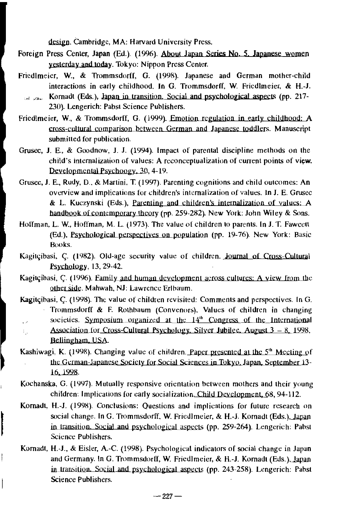design. Cambridge, MA: Harvard University Press.

- Foreign Press Center, Japan (Ed.). (1996). About Japan Series No. 5 Japanese women yesterday and today. Tokyo: Nippon Press Center.
- Friedlmeier, W., & Trommsdorff, G. (1998). Japanese and German mother-child interactions in early childhood. In G. Trommsdorff, W. Friedlmeier, & H.-J.
	- (Alexander (Eds.), Japan in transition. Social and psychological aspects (pp. 217-230). Lengerich: Pabst Science Publishers.
- Friedlmeier, W., & Trommsdorff, G. (1999). Emotion regulation in early childhood: A cross-cultural comparison between German and Japanese toddlers. Manuscript submitted for publication.
- Grusec, J. E., & Goodnow, J. J. (1994). Impact of parental discipline methods on the child's internalization of values: A reconceptualization of current points of view. Developmental Psychoogy. 30, 4-19.
- Grusec, J. E., Rudy, D., & Martini, T. (1997). Parenting cognitions and child outcomes: An overview and implications for children's internalization of values. In J. E. Grusec & L. Kuczynski (Eds.). parenting and children's internalization of values: *A*  handbook of contemporary theory (pp. 259-282). New York: John Wiley & Sons.
- Hoffman, L. W., Hoffman, M. L. (1973). The value of children to parents. In J. T. Fawcett (Ed.), Psychological perspectives on population (pp. 19-76). New York: Basic Books.
- Kagitçibasi, Ç. (1982). Old-age security value of children. Journal of Cross-Cultural PSYChology, 13,29-42.
- Kagitçibasi, Ç. (1996). Family and human development across cultures: A view from the otber Side. Mahwah, NJ: Lawrence Erlbaum.
- Kagitçibasi, Ç. (1998). The value of children revisited: Comments and perspectives. In G. Trommsdorff & F. Rothbaum (Convenors). Values of children in changing societies. Symposium organized at the  $14<sup>th</sup>$  Congress of the International  $\epsilon$ Association for Cross-Cultural Psychology, Silver Jubilee. August  $3-8$ , 1998. t., Belljngham, USA.
- Kashiwagi, K. (1998). Changing value of children. Paper presented at the  $5<sup>th</sup>$  Meeting of the German-Japanese Society for Social Sciences in Tokyo, Japan, September 13-16, 1998.
- Kochanska, G. (1997). Mutually responsive orientation between mothers and their young children: Implications for early socialization Child Development, 68, 94-112.
- Kornadt, H.-J. (1998). Conclusions: Questions and implications for future research on social change. In G. Trommsdorff, W. Friedlmeier, & H.-J. Kornadt (Eds.), Japan in transition. Social and psychological aspects (pp. 259-264). Lengerich: Pabst Science Publishers.
- Kornadt, H.-J., & EisJer, A.-C. (1998). Psychological indicators of social change in Japan and Germany. In G. Trommsdorff, W. Friedlmeier, & H.-J. Kornadt (Eds.), Japan in transition. Social and psychological aspects (pp. 243-258). Lengerich: Pabst Science Publishers.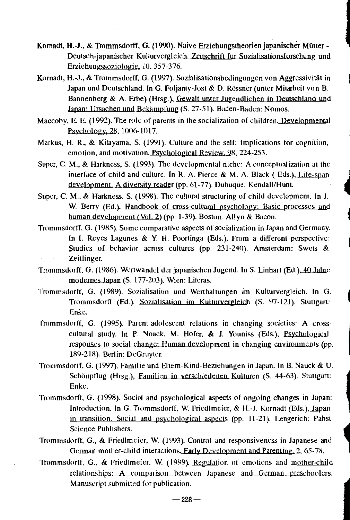- Kornadt, H.-J., & Trommsdorff, G. (1990). Naive Erziehungstheorien japanischer Mütter-Deutsch-japanischer Kulturvergleich. Zeitschrift für Sozialisationsforschung und Erziehungssoziologie, 10, 357-376.
- Komadt, H.-J., & Trommsdorff, G. (1997). Sozialisationsbedingungen von Aggressivitiit in Japan und Deutschland. In G. Foljanty-Jost & D. Rössner (unter Mitarbeit von B. Bannenberg & A. Erbe) (Hrsg.), Gewalt unter Jugendlichen in Deutschland und Japan: Ursachen und Bekämpfung (S. 27-51). Baden-Baden: Nomos.
- Maccoby, E. E. (1992). The role of parents in the socialization of children. Developmental Psychology, 28, 1006-1017.
- Markus, H. R., & Kitayama, S. (1991). Culture and the self: Implications for cognition, emotion, and motivation. Psychological Review,.98, 224-253.
- Super, C. M., & Harkness, S. (1993). The developmental niche: A conceptualization at the interface of child and culture. In R. A. Pierce  $& M. A.$  Black (Eds.), Life-span development: A diversity reader (pp. 61-77). Dubuque: Kendall/Hunt.
- Super, C. M., & Harkness, S. (1998). The cultural structuring of child development. In J. W. Berry (Ed.), Handbook of cross-cultural psychology: Basic processes and human development (Vol. 2) (pp. 1-39). Boston: Allyn & Bacon.
- Trommsdorff, G. (1985). Some comparative aspects of socialization in Japan and Germany. In I. Reyes Lagunes & Y. H. Poortinga (Eds.), From a different perspective: Studies of behavior across cultures (pp. 231-240). Amsterdam: Swets & Zeitlinger.
- Trommsdorff, G. (1986). Wertwandel der japanischen Jugend. In S. Linhart (Ed.), 40 Jahre modernes Japan (5. 177-203). Wien: Literas.
- Trommsdorff, G. (1989). Sozialisation und Werthaltungen im Kulturvergleich. In G. Trommsdorff (Ed.), Sozialisation im Kulturvergleich (S. 97-121). Stuttgart: Enke.
- Trommsdorff. G. (1995). Parent-adolescent relations in changing societies: A crosscultural study. In P. Noack, M. Hofer, & J. Youniss (Eds.), Psychological responses to social change: Human development in changing environments (pp. 189-218). Berlin: DeGruyter.
- Trommsdorff, G. (1997). Familie und Eltern-Kind-Beziehungen in Japan. In B. Nauck & U. Schönpflug (Hrsg.), Familien in verschiedenen Kulturen (S. 44-63). Stuttgart: Enke.
- Trommsdorff, G. (1998). Social and psychological aspects of ongoing changes in Japan: Introduction. In G. Trommsdorff, W. Friedlmeier, & H.-J. Kornadt (Eds.), Japan in transition. Social and psychological aspects (pp. 11-21). Lengerich: Pabst Science Publishers.
- Trommsdorff, G., & Friedlmeier, W. (1993). Control and responsiveness in Japanese and German mother-child interactions. Early Development and Parenting, 2, 65-78.
- Trommsdorff. G., & Friedlmeier. W. (1999). Regulation of emotions and mother-child relationships: A comparison between Japanese and German preschoolers. Manuscript submitted for publication.